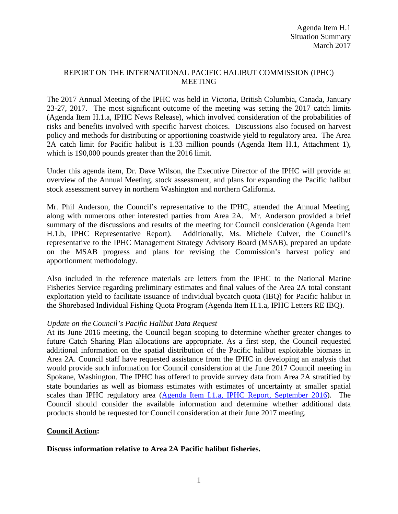### REPORT ON THE INTERNATIONAL PACIFIC HALIBUT COMMISSION (IPHC) MEETING

The 2017 Annual Meeting of the IPHC was held in Victoria, British Columbia, Canada, January 23-27, 2017. The most significant outcome of the meeting was setting the 2017 catch limits (Agenda Item H.1.a, IPHC News Release), which involved consideration of the probabilities of risks and benefits involved with specific harvest choices. Discussions also focused on harvest policy and methods for distributing or apportioning coastwide yield to regulatory area. The Area 2A catch limit for Pacific halibut is 1.33 million pounds (Agenda Item H.1, Attachment 1), which is 190,000 pounds greater than the 2016 limit.

Under this agenda item, Dr. Dave Wilson, the Executive Director of the IPHC will provide an overview of the Annual Meeting, stock assessment, and plans for expanding the Pacific halibut stock assessment survey in northern Washington and northern California.

Mr. Phil Anderson, the Council's representative to the IPHC, attended the Annual Meeting, along with numerous other interested parties from Area 2A. Mr. Anderson provided a brief summary of the discussions and results of the meeting for Council consideration (Agenda Item H.1.b, IPHC Representative Report). Additionally, Ms. Michele Culver, the Council's representative to the IPHC Management Strategy Advisory Board (MSAB), prepared an update on the MSAB progress and plans for revising the Commission's harvest policy and apportionment methodology.

Also included in the reference materials are letters from the IPHC to the National Marine Fisheries Service regarding preliminary estimates and final values of the Area 2A total constant exploitation yield to facilitate issuance of individual bycatch quota (IBQ) for Pacific halibut in the Shorebased Individual Fishing Quota Program (Agenda Item H.1.a, IPHC Letters RE IBQ).

## *Update on the Council's Pacific Halibut Data Request*

At its June 2016 meeting, the Council began scoping to determine whether greater changes to future Catch Sharing Plan allocations are appropriate. As a first step, the Council requested additional information on the spatial distribution of the Pacific halibut exploitable biomass in Area 2A. Council staff have requested assistance from the IPHC in developing an analysis that would provide such information for Council consideration at the June 2017 Council meeting in Spokane, Washington. The IPHC has offered to provide survey data from Area 2A stratified by state boundaries as well as biomass estimates with estimates of uncertainty at smaller spatial scales than IPHC regulatory area [\(Agenda Item I.1.a, IPHC Report, September 2016\)](http://www.pcouncil.org/wp-content/uploads/2016/08/I1a_IPHC_Ltr_to_PFMC_SEPT2016BB.pdf). The Council should consider the available information and determine whether additional data products should be requested for Council consideration at their June 2017 meeting.

#### **Council Action:**

#### **Discuss information relative to Area 2A Pacific halibut fisheries.**